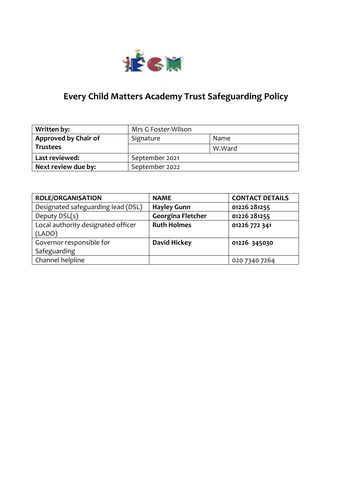

# **Every Child Matters Academy Trust Safeguarding Policy**

| Written by:          | Mrs G Foster-Wilson |        |
|----------------------|---------------------|--------|
| Approved by Chair of | Signature           | Name   |
| <b>Trustees</b>      |                     | W.Ward |
| Last reviewed:       | September 2021      |        |
| Next review due by:  | September 2022      |        |

| <b>ROLE/ORGANISATION</b>           | <b>NAME</b>              | <b>CONTACT DETAILS</b> |
|------------------------------------|--------------------------|------------------------|
| Designated safeguarding lead (DSL) | <b>Hayley Gunn</b>       | 01226 281255           |
| Deputy DSL(s)                      | <b>Georgina Fletcher</b> | 01226 281255           |
| Local authority designated officer | <b>Ruth Holmes</b>       | 01226 772 341          |
| (LADO)                             |                          |                        |
| Governor responsible for           | <b>David Hickey</b>      | 01226 345030           |
| Safeguarding                       |                          |                        |
| Channel helpline                   |                          | 020 7340 7264          |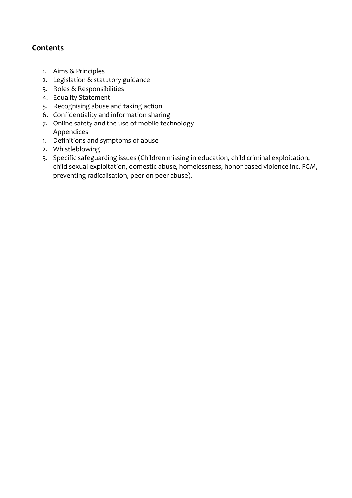## **Contents**

- 1. Aims & Principles
- 2. Legislation & statutory guidance
- 3. Roles & Responsibilities
- 4. Equality Statement
- 5. Recognising abuse and taking action
- 6. Confidentiality and information sharing
- 7. Online safety and the use of mobile technology Appendices
- 1. Definitions and symptoms of abuse
- 2. Whistleblowing
- 3. Specific safeguarding issues (Children missing in education, child criminal exploitation, child sexual exploitation, domestic abuse, homelessness, honor based violence inc. FGM, preventing radicalisation, peer on peer abuse).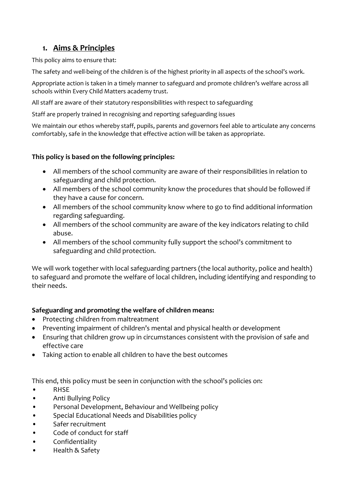## **1. Aims & Principles**

This policy aims to ensure that:

The safety and well-being of the children is of the highest priority in all aspects of the school's work.

Appropriate action is taken in a timely manner to safeguard and promote children's welfare across all schools within Every Child Matters academy trust.

All staff are aware of their statutory responsibilities with respect to safeguarding

Staff are properly trained in recognising and reporting safeguarding issues

We maintain our ethos whereby staff, pupils, parents and governors feel able to articulate any concerns comfortably, safe in the knowledge that effective action will be taken as appropriate.

### **This policy is based on the following principles:**

- All members of the school community are aware of their responsibilities in relation to safeguarding and child protection.
- All members of the school community know the procedures that should be followed if they have a cause for concern.
- All members of the school community know where to go to find additional information regarding safeguarding.
- All members of the school community are aware of the key indicators relating to child abuse.
- All members of the school community fully support the school's commitment to safeguarding and child protection.

We will work together with local safeguarding partners (the local authority, police and health) to safeguard and promote the welfare of local children, including identifying and responding to their needs.

## **Safeguarding and promoting the welfare of children means:**

- Protecting children from maltreatment
- Preventing impairment of children's mental and physical health or development
- Ensuring that children grow up in circumstances consistent with the provision of safe and effective care
- Taking action to enable all children to have the best outcomes

This end, this policy must be seen in conjunction with the school's policies on:

- RHSE
- Anti Bullying Policy
- Personal Development, Behaviour and Wellbeing policy
- Special Educational Needs and Disabilities policy
- Safer recruitment
- Code of conduct for staff
- Confidentiality
- Health & Safety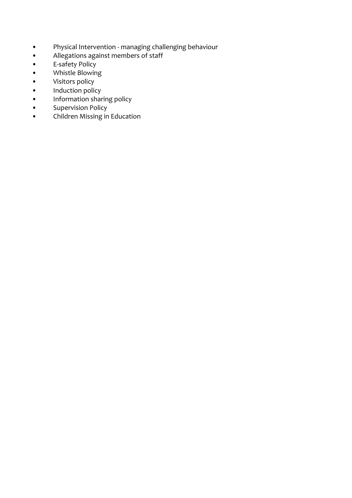- Physical Intervention managing challenging behaviour
- Allegations against members of staff
- E-safety Policy
- E-safety Policy<br>• Whistle Blowing<br>• Visitors policy
- 
- Visitors policy<br>• Induction polic<br>• Information sh • Induction policy
- Information sharing policy
- Supervision Policy
- Children Missing in Education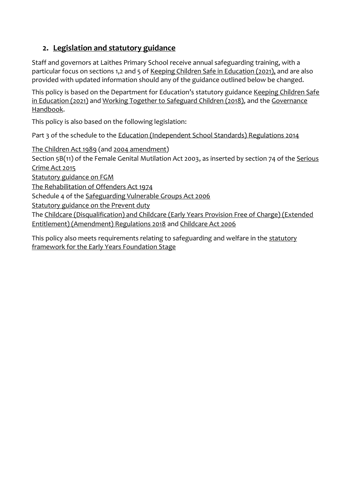## **2. Legislation and statutory guidance**

Staff and governors at Laithes Primary School receive annual safeguarding training, with a particular focus on sections 1,2 and 5 of [Keeping Children Safe in Education \(2021\),](https://www.gov.uk/government/publications/keeping-children-safe-in-education--2) and are also provided with updated information should any of the guidance outlined below be changed.

This policy is based on the Department for Education's statutory guidance Keeping Children Safe [in Education \(2021\)](https://www.gov.uk/government/publications/keeping-children-safe-in-education--2) an[d Working Together to Safeguard Children \(2018\),](https://www.gov.uk/government/publications/working-together-to-safeguard-children--2) and the [Governance](https://www.gov.uk/government/publications/governance-handbook)  [Handbook.](https://www.gov.uk/government/publications/governance-handbook)

This policy is also based on the following legislation:

Part 3 of the schedule to the Education (Independent School Standards) Regulations 2014

[The Children Act 1989](http://www.legislation.gov.uk/ukpga/1989/41) (and [2004 amendment\)](http://www.legislation.gov.uk/ukpga/2004/31/contents)

Section 5B(11) of the Female Genital Mutilation Act 2003, as inserted by section 74 of th[e Serious](http://www.legislation.gov.uk/ukpga/2015/9/part/5/crossheading/female-genital-mutilation)  [Crime Act 2015](http://www.legislation.gov.uk/ukpga/2015/9/part/5/crossheading/female-genital-mutilation) 

[Statutory guidance on FGM](https://www.gov.uk/government/publications/multi-agency-statutory-guidance-on-female-genital-mutilation) 

[The Rehabilitation of Offenders Act 1974](http://www.legislation.gov.uk/ukpga/1974/53) 

Schedule 4 of th[e Safeguarding Vulnerable Groups Act 2006](http://www.legislation.gov.uk/ukpga/2006/47/schedule/4) 

[Statutory guidance on the Prevent duty](https://www.gov.uk/government/publications/prevent-duty-guidance) 

The [Childcare \(Disqualification\) and Childcare \(Early Years Provision Free of Charge\) \(Extended](http://www.legislation.gov.uk/uksi/2018/794/contents/made)  [Entitlement\) \(Amendment\) Regulations 2018](http://www.legislation.gov.uk/uksi/2018/794/contents/made) an[d Childcare Act 2006](http://www.legislation.gov.uk/ukpga/2006/21/contents)

This policy also meets requirements relating to safeguarding and welfare in the statutory [framework for the Early Years Foundation Stage](https://www.gov.uk/government/publications/early-years-foundation-stage-framework--2)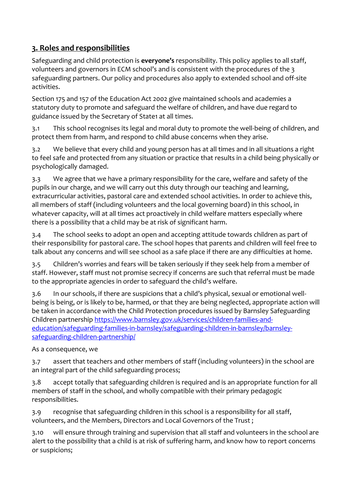## **3. Roles and responsibilities**

Safeguarding and child protection is **everyone's** responsibility. This policy applies to all staff, volunteers and governors in ECM school's and is consistent with the procedures of the 3 safeguarding partners. Our policy and procedures also apply to extended school and off-site activities.

Section 175 and 157 of the Education Act 2002 give maintained schools and academies a statutory duty to promote and safeguard the welfare of children, and have due regard to guidance issued by the Secretary of State1 at all times.

3.1 This school recognises its legal and moral duty to promote the well-being of children, and protect them from harm, and respond to child abuse concerns when they arise.

3.2 We believe that every child and young person has at all times and in all situations a right to feel safe and protected from any situation or practice that results in a child being physically or psychologically damaged.

3.3 We agree that we have a primary responsibility for the care, welfare and safety of the pupils in our charge, and we will carry out this duty through our teaching and learning, extracurricular activities, pastoral care and extended school activities. In order to achieve this, all members of staff (including volunteers and the local governing board) in this school, in whatever capacity, will at all times act proactively in child welfare matters especially where there is a possibility that a child may be at risk of significant harm.

3.4 The school seeks to adopt an open and accepting attitude towards children as part of their responsibility for pastoral care. The school hopes that parents and children will feel free to talk about any concerns and will see school as a safe place if there are any difficulties at home.

3.5 Children's worries and fears will be taken seriously if they seek help from a member of staff. However, staff must not promise secrecy if concerns are such that referral must be made to the appropriate agencies in order to safeguard the child's welfare.

3.6 In our schools, if there are suspicions that a child's physical, sexual or emotional wellbeing is being, or is likely to be, harmed, or that they are being neglected, appropriate action will be taken in accordance with the Child Protection procedures issued by Barnsley Safeguarding Children partnership [https://www.barnsley.gov.uk/services/children-families-and](https://www.barnsley.gov.uk/services/children-families-and-education/safeguarding-families-in-barnsley/safeguarding-children-in-barnsley/barnsley-safeguarding-children-partnership/)[education/safeguarding-families-in-barnsley/safeguarding-children-in-barnsley/barnsley](https://www.barnsley.gov.uk/services/children-families-and-education/safeguarding-families-in-barnsley/safeguarding-children-in-barnsley/barnsley-safeguarding-children-partnership/)[safeguarding-children-partnership/](https://www.barnsley.gov.uk/services/children-families-and-education/safeguarding-families-in-barnsley/safeguarding-children-in-barnsley/barnsley-safeguarding-children-partnership/)

As a consequence, we

3.7 assert that teachers and other members of staff (including volunteers) in the school are an integral part of the child safeguarding process;

3.8 accept totally that safeguarding children is required and is an appropriate function for all members of staff in the school, and wholly compatible with their primary pedagogic responsibilities.

3.9 recognise that safeguarding children in this school is a responsibility for all staff, volunteers, and the Members, Directors and Local Governors of the Trust ;

3.10 will ensure through training and supervision that all staff and volunteers in the school are alert to the possibility that a child is at risk of suffering harm, and know how to report concerns or suspicions;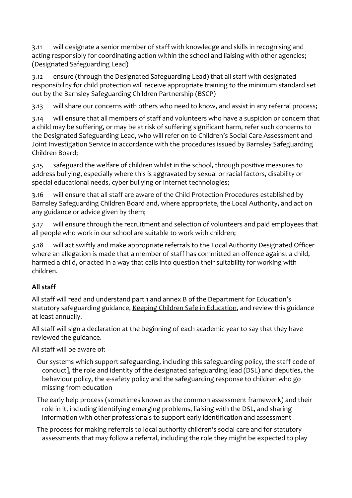3.11 will designate a senior member of staff with knowledge and skills in recognising and acting responsibly for coordinating action within the school and liaising with other agencies; (Designated Safeguarding Lead)

3.12 ensure (through the Designated Safeguarding Lead) that all staff with designated responsibility for child protection will receive appropriate training to the minimum standard set out by the Barnsley Safeguarding Children Partnership (BSCP)

3.13 will share our concerns with others who need to know, and assist in any referral process;

3.14 will ensure that all members of staff and volunteers who have a suspicion or concern that a child may be suffering, or may be at risk of suffering significant harm, refer such concerns to the Designated Safeguarding Lead, who will refer on to Children's Social Care Assessment and Joint Investigation Service in accordance with the procedures issued by Barnsley Safeguarding Children Board;

3.15 safeguard the welfare of children whilst in the school, through positive measures to address bullying, especially where this is aggravated by sexual or racial factors, disability or special educational needs, cyber bullying or Internet technologies;

3.16 will ensure that all staff are aware of the Child Protection Procedures established by Barnsley Safeguarding Children Board and, where appropriate, the Local Authority, and act on any guidance or advice given by them;

3.17 will ensure through the recruitment and selection of volunteers and paid employees that all people who work in our school are suitable to work with children;

3.18 will act swiftly and make appropriate referrals to the Local Authority Designated Officer where an allegation is made that a member of staff has committed an offence against a child, harmed a child, or acted in a way that calls into question their suitability for working with children.

## **All staff**

All staff will read and understand part 1 and annex B of the Department for Education's statutory safeguarding guidance, [Keeping Children Safe in Education,](https://www.gov.uk/government/publications/keeping-children-safe-in-education--2) and review this guidance at least annually.

All staff will sign a declaration at the beginning of each academic year to say that they have reviewed the guidance.

All staff will be aware of:

Our systems which support safeguarding, including this safeguarding policy, the staff code of conduct], the role and identity of the designated safeguarding lead (DSL) and deputies, the behaviour policy, the e-safety policy and the safeguarding response to children who go missing from education

The early help process (sometimes known as the common assessment framework) and their role in it, including identifying emerging problems, liaising with the DSL, and sharing information with other professionals to support early identification and assessment

The process for making referrals to local authority children's social care and for statutory assessments that may follow a referral, including the role they might be expected to play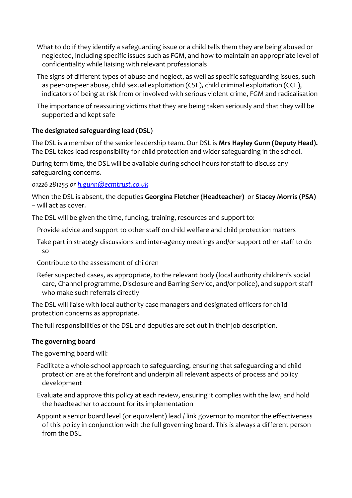- What to do if they identify a safeguarding issue or a child tells them they are being abused or neglected, including specific issues such as FGM, and how to maintain an appropriate level of confidentiality while liaising with relevant professionals
- The signs of different types of abuse and neglect, as well as specific safeguarding issues, such as peer-on-peer abuse, child sexual exploitation (CSE), child criminal exploitation (CCE), indicators of being at risk from or involved with serious violent crime, FGM and radicalisation
- The importance of reassuring victims that they are being taken seriously and that they will be supported and kept safe

## **The designated safeguarding lead (DSL)**

The DSL is a member of the senior leadership team. Our DSL is **Mrs Hayley Gunn (Deputy Head).** The DSL takes lead responsibility for child protection and wider safeguarding in the school.

During term time, the DSL will be available during school hours for staff to discuss any safeguarding concerns.

*01226 281255 or [h.gunn@ecmtrust.co.uk](mailto:h.gunn@ecmtrust.co.uk)*

When the DSL is absent, the deputies **Georgina Fletcher (Headteacher)** or **Stacey Morris (PSA)** – will act as cover.

The DSL will be given the time, funding, training, resources and support to:

- Provide advice and support to other staff on child welfare and child protection matters
- Take part in strategy discussions and inter-agency meetings and/or support other staff to do so
- Contribute to the assessment of children
- Refer suspected cases, as appropriate, to the relevant body (local authority children's social care, Channel programme, Disclosure and Barring Service, and/or police), and support staff who make such referrals directly

The DSL will liaise with local authority case managers and designated officers for child protection concerns as appropriate.

The full responsibilities of the DSL and deputies are set out in their job description.

## **The governing board**

The governing board will:

- Facilitate a whole-school approach to safeguarding, ensuring that safeguarding and child protection are at the forefront and underpin all relevant aspects of process and policy development
- Evaluate and approve this policy at each review, ensuring it complies with the law, and hold the headteacher to account for its implementation
- Appoint a senior board level (or equivalent) lead / link governor to monitor the effectiveness of this policy in conjunction with the full governing board. This is always a different person from the DSL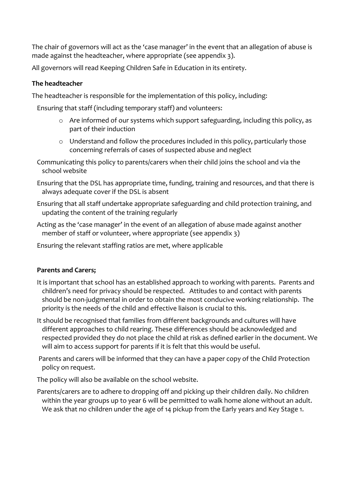The chair of governors will act as the 'case manager' in the event that an allegation of abuse is made against the headteacher, where appropriate (see appendix 3).

All governors will read Keeping Children Safe in Education in its entirety.

### **The headteacher**

The headteacher is responsible for the implementation of this policy, including:

Ensuring that staff (including temporary staff) and volunteers:

- o Are informed of our systems which support safeguarding, including this policy, as part of their induction
- o Understand and follow the procedures included in this policy, particularly those concerning referrals of cases of suspected abuse and neglect

Communicating this policy to parents/carers when their child joins the school and via the school website

Ensuring that the DSL has appropriate time, funding, training and resources, and that there is always adequate cover if the DSL is absent

Ensuring that all staff undertake appropriate safeguarding and child protection training, and updating the content of the training regularly

Acting as the 'case manager' in the event of an allegation of abuse made against another member of staff or volunteer, where appropriate (see appendix 3)

Ensuring the relevant staffing ratios are met, where applicable

## **Parents and Carers;**

- It is important that school has an established approach to working with parents. Parents and children's need for privacy should be respected. Attitudes to and contact with parents should be non-judgmental in order to obtain the most conducive working relationship. The priority is the needs of the child and effective liaison is crucial to this.
- It should be recognised that families from different backgrounds and cultures will have different approaches to child rearing. These differences should be acknowledged and respected provided they do not place the child at risk as defined earlier in the document. We will aim to access support for parents if it is felt that this would be useful.

Parents and carers will be informed that they can have a paper copy of the Child Protection policy on request.

The policy will also be available on the school website.

Parents/carers are to adhere to dropping off and picking up their children daily. No children within the year groups up to year 6 will be permitted to walk home alone without an adult. We ask that no children under the age of 14 pickup from the Early years and Key Stage 1.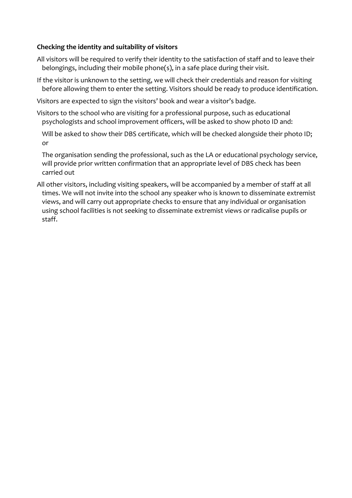### **Checking the identity and suitability of visitors**

- All visitors will be required to verify their identity to the satisfaction of staff and to leave their belongings, including their mobile phone(s), in a safe place during their visit.
- If the visitor is unknown to the setting, we will check their credentials and reason for visiting before allowing them to enter the setting. Visitors should be ready to produce identification.
- Visitors are expected to sign the visitors' book and wear a visitor's badge.
- Visitors to the school who are visiting for a professional purpose, such as educational psychologists and school improvement officers, will be asked to show photo ID and:
	- Will be asked to show their DBS certificate, which will be checked alongside their photo ID; or
	- The organisation sending the professional, such as the LA or educational psychology service, will provide prior written confirmation that an appropriate level of DBS check has been carried out
- All other visitors, including visiting speakers, will be accompanied by a member of staff at all times. We will not invite into the school any speaker who is known to disseminate extremist views, and will carry out appropriate checks to ensure that any individual or organisation using school facilities is not seeking to disseminate extremist views or radicalise pupils or staff.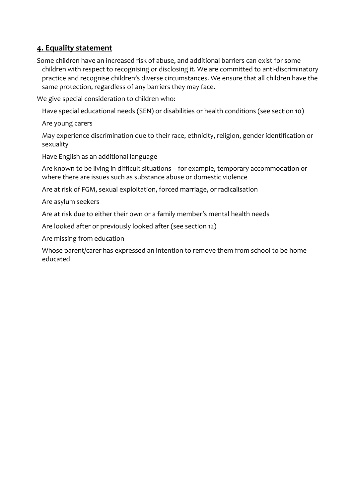## **4. Equality statement**

Some children have an increased risk of abuse, and additional barriers can exist for some children with respect to recognising or disclosing it. We are committed to anti-discriminatory practice and recognise children's diverse circumstances. We ensure that all children have the same protection, regardless of any barriers they may face.

We give special consideration to children who:

Have special educational needs (SEN) or disabilities or health conditions (see section 10)

Are young carers

May experience discrimination due to their race, ethnicity, religion, gender identification or sexuality

Have English as an additional language

Are known to be living in difficult situations – for example, temporary accommodation or where there are issues such as substance abuse or domestic violence

Are at risk of FGM, sexual exploitation, forced marriage, or radicalisation

Are asylum seekers

Are at risk due to either their own or a family member's mental health needs

Are looked after or previously looked after (see section 12)

Are missing from education

Whose parent/carer has expressed an intention to remove them from school to be home educated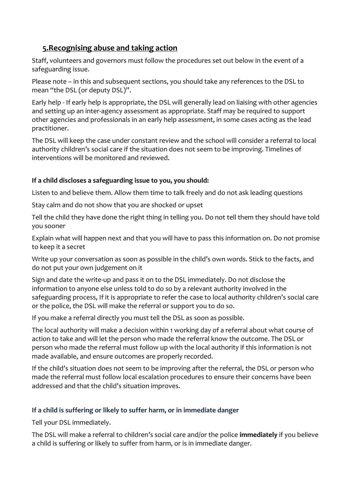## **5.Recognising abuse and taking action**

Staff, volunteers and governors must follow the procedures set out below in the event of a safeguarding issue.

Please note – in this and subsequent sections, you should take any references to the DSL to mean "the DSL (or deputy DSL)".

Early help - If early help is appropriate, the DSL will generally lead on liaising with other agencies and setting up an inter-agency assessment as appropriate. Staff may be required to support other agencies and professionals in an early help assessment, in some cases acting as the lead practitioner.

The DSL will keep the case under constant review and the school will consider a referral to local authority children's social care if the situation does not seem to be improving. Timelines of interventions will be monitored and reviewed.

## **If a child discloses a safeguarding issue to you, you should:**

Listen to and believe them. Allow them time to talk freely and do not ask leading questions

Stay calm and do not show that you are shocked or upset

Tell the child they have done the right thing in telling you. Do not tell them they should have told you sooner

Explain what will happen next and that you will have to pass this information on. Do not promise to keep it a secret

Write up your conversation as soon as possible in the child's own words. Stick to the facts, and do not put your own judgement on it

Sign and date the write-up and pass it on to the DSL immediately. Do not disclose the information to anyone else unless told to do so by a relevant authority involved in the safeguarding process, If it is appropriate to refer the case to local authority children's social care or the police, the DSL will make the referral or support you to do so.

If you make a referral directly you must tell the DSL as soon as possible.

The local authority will make a decision within 1 working day of a referral about what course of action to take and will let the person who made the referral know the outcome. The DSL or person who made the referral must follow up with the local authority if this information is not made available, and ensure outcomes are properly recorded.

If the child's situation does not seem to be improving after the referral, the DSL or person who made the referral must follow local escalation procedures to ensure their concerns have been addressed and that the child's situation improves.

## **If a child is suffering or likely to suffer harm, or in immediate danger**

Tell your DSL immediately.

The DSL will make a referral to children's social care and/or the police **immediately** if you believe a child is suffering or likely to suffer from harm, or is in immediate danger.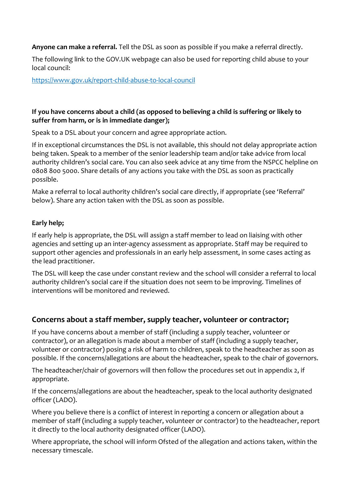**Anyone can make a referral.** Tell the DSL as soon as possible if you make a referral directly.

The following link to the GOV.UK webpage can also be used for reporting child abuse to your local council:

<https://www.gov.uk/report-child-abuse-to-local-council>

### **If you have concerns about a child (as opposed to believing a child is suffering or likely to suffer from harm, or is in immediate danger);**

Speak to a DSL about your concern and agree appropriate action.

If in exceptional circumstances the DSL is not available, this should not delay appropriate action being taken. Speak to a member of the senior leadership team and/or take advice from local authority children's social care. You can also seek advice at any time from the NSPCC helpline on 0808 800 5000. Share details of any actions you take with the DSL as soon as practically possible.

Make a referral to local authority children's social care directly, if appropriate (see 'Referral' below). Share any action taken with the DSL as soon as possible.

### **Early help;**

If early help is appropriate, the DSL will assign a staff member to lead on liaising with other agencies and setting up an inter-agency assessment as appropriate. Staff may be required to support other agencies and professionals in an early help assessment, in some cases acting as the lead practitioner.

The DSL will keep the case under constant review and the school will consider a referral to local authority children's social care if the situation does not seem to be improving. Timelines of interventions will be monitored and reviewed.

## **Concerns about a staff member, supply teacher, volunteer or contractor;**

If you have concerns about a member of staff (including a supply teacher, volunteer or contractor), or an allegation is made about a member of staff (including a supply teacher, volunteer or contractor) posing a risk of harm to children, speak to the headteacher as soon as possible. If the concerns/allegations are about the headteacher, speak to the chair of governors.

The headteacher/chair of governors will then follow the procedures set out in appendix 2, if appropriate.

If the concerns/allegations are about the headteacher, speak to the local authority designated officer (LADO).

Where you believe there is a conflict of interest in reporting a concern or allegation about a member of staff (including a supply teacher, volunteer or contractor) to the headteacher, report it directly to the local authority designated officer (LADO).

Where appropriate, the school will inform Ofsted of the allegation and actions taken, within the necessary timescale.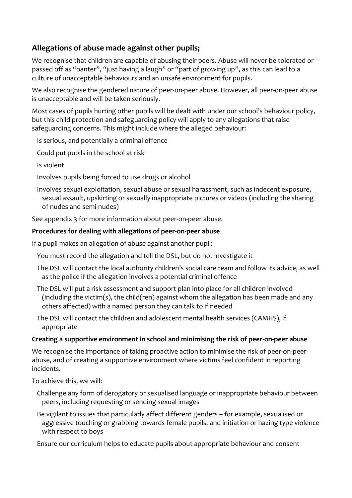## **Allegations of abuse made against other pupils;**

We recognise that children are capable of abusing their peers. Abuse will never be tolerated or passed off as "banter", "just having a laugh" or "part of growing up", as this can lead to a culture of unacceptable behaviours and an unsafe environment for pupils.

We also recognise the gendered nature of peer-on-peer abuse. However, all peer-on-peer abuse is unacceptable and will be taken seriously.

Most cases of pupils hurting other pupils will be dealt with under our school's behaviour policy, but this child protection and safeguarding policy will apply to any allegations that raise safeguarding concerns. This might include where the alleged behaviour:

Is serious, and potentially a criminal offence

Could put pupils in the school at risk

Is violent

Involves pupils being forced to use drugs or alcohol

Involves sexual exploitation, sexual abuse or sexual harassment, such as indecent exposure, sexual assault, upskirting or sexually inappropriate pictures or videos (including the sharing of nudes and semi-nudes)

See appendix 3 for more information about peer-on-peer abuse.

### **Procedures for dealing with allegations of peer-on-peer abuse**

If a pupil makes an allegation of abuse against another pupil:

You must record the allegation and tell the DSL, but do not investigate it

The DSL will contact the local authority children's social care team and follow its advice, as well as the police if the allegation involves a potential criminal offence

The DSL will put a risk assessment and support plan into place for all children involved (including the victim(s), the child(ren) against whom the allegation has been made and any others affected) with a named person they can talk to if needed

The DSL will contact the children and adolescent mental health services (CAMHS), if appropriate

### **Creating a supportive environment in school and minimising the risk of peer-on-peer abuse**

We recognise the importance of taking proactive action to minimise the risk of peer-on-peer abuse, and of creating a supportive environment where victims feel confident in reporting incidents.

To achieve this, we will:

Challenge any form of derogatory or sexualised language or inappropriate behaviour between peers, including requesting or sending sexual images

Be vigilant to issues that particularly affect different genders – for example, sexualised or aggressive touching or grabbing towards female pupils, and initiation or hazing type violence with respect to boys

Ensure our curriculum helps to educate pupils about appropriate behaviour and consent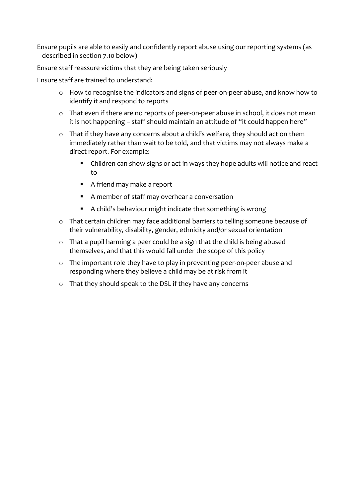Ensure pupils are able to easily and confidently report abuse using our reporting systems (as described in section 7.10 below)

Ensure staff reassure victims that they are being taken seriously

Ensure staff are trained to understand:

- o How to recognise the indicators and signs of peer-on-peer abuse, and know how to identify it and respond to reports
- o That even if there are no reports of peer-on-peer abuse in school, it does not mean it is not happening – staff should maintain an attitude of "it could happen here"
- o That if they have any concerns about a child's welfare, they should act on them immediately rather than wait to be told, and that victims may not always make a direct report. For example:
	- Children can show signs or act in ways they hope adults will notice and react to
	- A friend may make a report
	- A member of staff may overhear a conversation
	- A child's behaviour might indicate that something is wrong
- o That certain children may face additional barriers to telling someone because of their vulnerability, disability, gender, ethnicity and/or sexual orientation
- o That a pupil harming a peer could be a sign that the child is being abused themselves, and that this would fall under the scope of this policy
- o The important role they have to play in preventing peer-on-peer abuse and responding where they believe a child may be at risk from it
- o That they should speak to the DSL if they have any concerns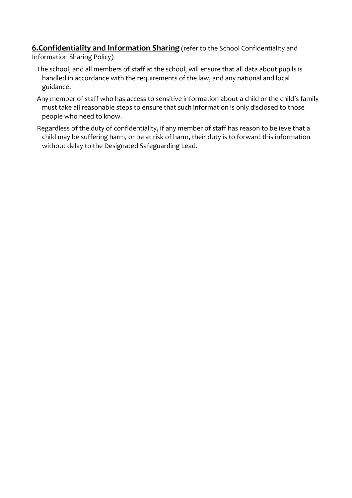**6.Confidentiality and Information Sharing** (refer to the School Confidentiality and Information Sharing Policy)

- The school, and all members of staff at the school, will ensure that all data about pupils is handled in accordance with the requirements of the law, and any national and local guidance.
- Any member of staff who has access to sensitive information about a child or the child's family must take all reasonable steps to ensure that such information is only disclosed to those people who need to know.
- Regardless of the duty of confidentiality, if any member of staff has reason to believe that a child may be suffering harm, or be at risk of harm, their duty is to forward this information without delay to the Designated Safeguarding Lead.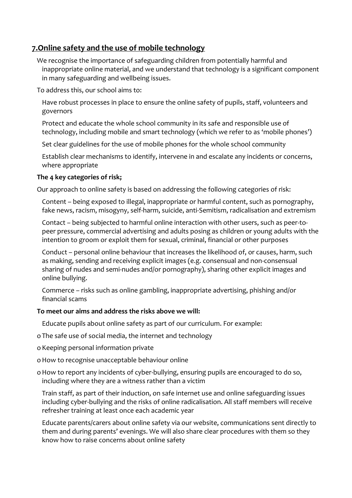## **7.Online safety and the use of mobile technology**

We recognise the importance of safeguarding children from potentially harmful and inappropriate online material, and we understand that technology is a significant component in many safeguarding and wellbeing issues.

To address this, our school aims to:

Have robust processes in place to ensure the online safety of pupils, staff, volunteers and governors

Protect and educate the whole school community in its safe and responsible use of technology, including mobile and smart technology (which we refer to as 'mobile phones')

Set clear guidelines for the use of mobile phones for the whole school community

Establish clear mechanisms to identify, intervene in and escalate any incidents or concerns, where appropriate

### **The 4 key categories of risk;**

Our approach to online safety is based on addressing the following categories of risk:

Content – being exposed to illegal, inappropriate or harmful content, such as pornography, fake news, racism, misogyny, self-harm, suicide, anti-Semitism, radicalisation and extremism

Contact – being subjected to harmful online interaction with other users, such as peer-topeer pressure, commercial advertising and adults posing as children or young adults with the intention to groom or exploit them for sexual, criminal, financial or other purposes

Conduct – personal online behaviour that increases the likelihood of, or causes, harm, such as making, sending and receiving explicit images (e.g. consensual and non-consensual sharing of nudes and semi-nudes and/or pornography), sharing other explicit images and online bullying.

Commerce – risks such as online gambling, inappropriate advertising, phishing and/or financial scams

### **To meet our aims and address the risks above we will:**

Educate pupils about online safety as part of our curriculum. For example:

o The safe use of social media, the internet and technology

o Keeping personal information private

- oHow to recognise unacceptable behaviour online
- o How to report any incidents of cyber-bullying, ensuring pupils are encouraged to do so, including where they are a witness rather than a victim

Train staff, as part of their induction, on safe internet use and online safeguarding issues including cyber-bullying and the risks of online radicalisation. All staff members will receive refresher training at least once each academic year

Educate parents/carers about online safety via our website, communications sent directly to them and during parents' evenings. We will also share clear procedures with them so they know how to raise concerns about online safety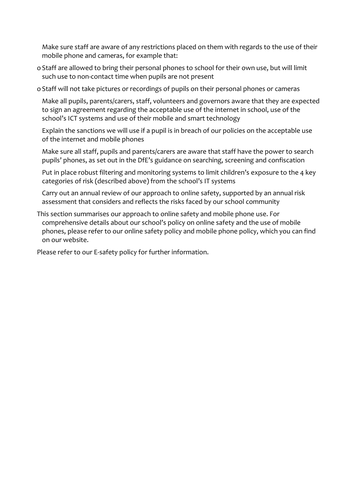Make sure staff are aware of any restrictions placed on them with regards to the use of their mobile phone and cameras, for example that:

- o Staff are allowed to bring their personal phones to school for their own use, but will limit such use to non-contact time when pupils are not present
- o Staff will not take pictures or recordings of pupils on their personal phones or cameras

Make all pupils, parents/carers, staff, volunteers and governors aware that they are expected to sign an agreement regarding the acceptable use of the internet in school, use of the school's ICT systems and use of their mobile and smart technology

Explain the sanctions we will use if a pupil is in breach of our policies on the acceptable use of the internet and mobile phones

Make sure all staff, pupils and parents/carers are aware that staff have the power to search pupils' phones, as set out in the DfE's guidance on searching, screening and confiscation

Put in place robust filtering and monitoring systems to limit children's exposure to the 4 key categories of risk (described above) from the school's IT systems

Carry out an annual review of our approach to online safety, supported by an annual risk assessment that considers and reflects the risks faced by our school community

This section summarises our approach to online safety and mobile phone use. For comprehensive details about our school's policy on online safety and the use of mobile phones, please refer to our online safety policy and mobile phone policy, which you can find on our website.

Please refer to our E-safety policy for further information.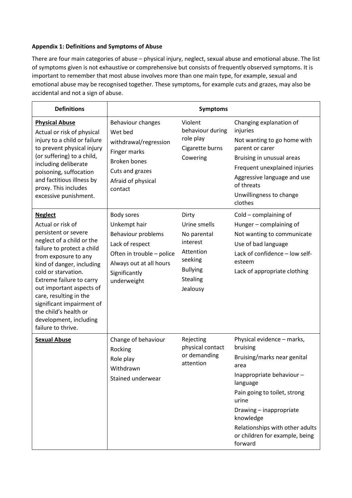#### **Appendix 1: Definitions and Symptoms of Abuse**

There are four main categories of abuse – physical injury, neglect, sexual abuse and emotional abuse. The list of symptoms given is not exhaustive or comprehensive but consists of frequently observed symptoms. It is important to remember that most abuse involves more than one main type, for example, sexual and emotional abuse may be recognised together. These symptoms, for example cuts and grazes, may also be accidental and not a sign of abuse.

| <b>Definitions</b>                                                                                                                                                                                                                                                                                                                                                                         |                                                                                                                                                             | <b>Symptoms</b>                                                                                                            |                                                                                                                                                                                                                                                                                        |
|--------------------------------------------------------------------------------------------------------------------------------------------------------------------------------------------------------------------------------------------------------------------------------------------------------------------------------------------------------------------------------------------|-------------------------------------------------------------------------------------------------------------------------------------------------------------|----------------------------------------------------------------------------------------------------------------------------|----------------------------------------------------------------------------------------------------------------------------------------------------------------------------------------------------------------------------------------------------------------------------------------|
| <b>Physical Abuse</b><br>Actual or risk of physical<br>injury to a child or failure<br>to prevent physical injury<br>(or suffering) to a child,<br>including deliberate<br>poisoning, suffocation<br>and factitious illness by<br>proxy. This includes<br>excessive punishment.                                                                                                            | Behaviour changes<br>Wet bed<br>withdrawal/regression<br>Finger marks<br><b>Broken bones</b><br>Cuts and grazes<br>Afraid of physical<br>contact            | Violent<br>behaviour during<br>role play<br>Cigarette burns<br>Cowering                                                    | Changing explanation of<br>injuries<br>Not wanting to go home with<br>parent or carer<br>Bruising in unusual areas<br>Frequent unexplained injuries<br>Aggressive language and use<br>of threats<br>Unwillingness to change<br>clothes                                                 |
| <b>Neglect</b><br>Actual or risk of<br>persistent or severe<br>neglect of a child or the<br>failure to protect a child<br>from exposure to any<br>kind of danger, including<br>cold or starvation.<br>Extreme failure to carry<br>out important aspects of<br>care, resulting in the<br>significant impairment of<br>the child's health or<br>development, including<br>failure to thrive. | Body sores<br>Unkempt hair<br>Behaviour problems<br>Lack of respect<br>Often in trouble - police<br>Always out at all hours<br>Significantly<br>underweight | Dirty<br>Urine smells<br>No parental<br>interest<br>Attention<br>seeking<br><b>Bullying</b><br><b>Stealing</b><br>Jealousy | Cold - complaining of<br>Hunger - complaining of<br>Not wanting to communicate<br>Use of bad language<br>Lack of confidence - low self-<br>esteem<br>Lack of appropriate clothing                                                                                                      |
| <b>Sexual Abuse</b>                                                                                                                                                                                                                                                                                                                                                                        | Change of behaviour<br>Rocking<br>Role play<br>Withdrawn<br>Stained underwear                                                                               | Rejecting<br>physical contact<br>or demanding<br>attention                                                                 | Physical evidence - marks,<br>bruising<br>Bruising/marks near genital<br>area<br>Inappropriate behaviour-<br>language<br>Pain going to toilet, strong<br>urine<br>Drawing - inappropriate<br>knowledge<br>Relationships with other adults<br>or children for example, being<br>forward |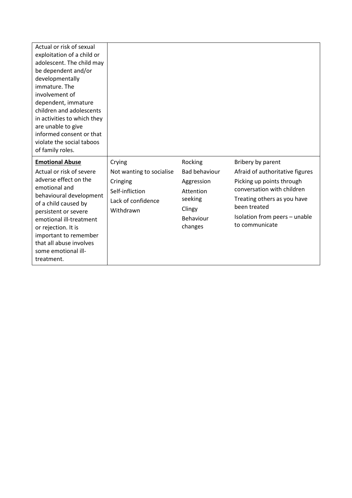| informed consent or that<br>violate the social taboos<br>of family roles.                                                                                                                                                                                                                                      |                                                                                            |                                                                                                         |                                                                                                                                                                                                                   |
|----------------------------------------------------------------------------------------------------------------------------------------------------------------------------------------------------------------------------------------------------------------------------------------------------------------|--------------------------------------------------------------------------------------------|---------------------------------------------------------------------------------------------------------|-------------------------------------------------------------------------------------------------------------------------------------------------------------------------------------------------------------------|
| <b>Emotional Abuse</b><br>Crying<br>Actual or risk of severe<br>adverse effect on the<br>emotional and<br>behavioural development<br>of a child caused by<br>persistent or severe<br>emotional ill-treatment<br>or rejection. It is<br>important to remember<br>that all abuse involves<br>some emotional ill- | Not wanting to socialise<br>Cringing<br>Self-infliction<br>Lack of confidence<br>Withdrawn | Rocking<br><b>Bad behaviour</b><br>Aggression<br>Attention<br>seeking<br>Clingy<br>Behaviour<br>changes | Bribery by parent<br>Afraid of authoritative figures<br>Picking up points through<br>conversation with children<br>Treating others as you have<br>been treated<br>Isolation from peers - unable<br>to communicate |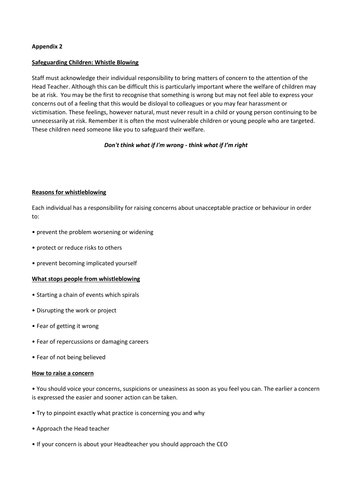#### **Safeguarding Children: Whistle Blowing**

Staff must acknowledge their individual responsibility to bring matters of concern to the attention of the Head Teacher. Although this can be difficult this is particularly important where the welfare of children may be at risk. You may be the first to recognise that something is wrong but may not feel able to express your concerns out of a feeling that this would be disloyal to colleagues or you may fear harassment or victimisation. These feelings, however natural, must never result in a child or young person continuing to be unnecessarily at risk. Remember it is often the most vulnerable children or young people who are targeted. These children need someone like you to safeguard their welfare.

#### *Don't think what if I'm wrong - think what if I'm right*

#### **Reasons for whistleblowing**

Each individual has a responsibility for raising concerns about unacceptable practice or behaviour in order to:

- prevent the problem worsening or widening
- protect or reduce risks to others
- prevent becoming implicated yourself

#### **What stops people from whistleblowing**

- Starting a chain of events which spirals
- Disrupting the work or project
- Fear of getting it wrong
- Fear of repercussions or damaging careers
- Fear of not being believed

#### **How to raise a concern**

• You should voice your concerns, suspicions or uneasiness as soon as you feel you can. The earlier a concern is expressed the easier and sooner action can be taken.

- Try to pinpoint exactly what practice is concerning you and why
- Approach the Head teacher
- If your concern is about your Headteacher you should approach the CEO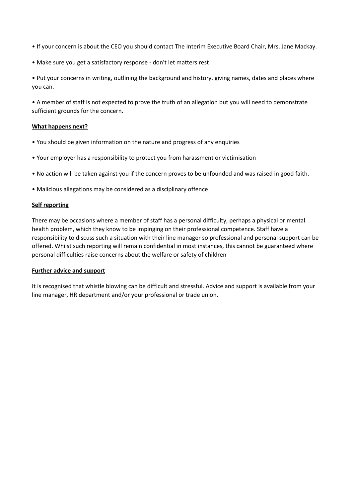- If your concern is about the CEO you should contact The Interim Executive Board Chair, Mrs. Jane Mackay.
- Make sure you get a satisfactory response don't let matters rest

• Put your concerns in writing, outlining the background and history, giving names, dates and places where you can.

• A member of staff is not expected to prove the truth of an allegation but you will need to demonstrate sufficient grounds for the concern.

#### **What happens next?**

- You should be given information on the nature and progress of any enquiries
- Your employer has a responsibility to protect you from harassment or victimisation
- No action will be taken against you if the concern proves to be unfounded and was raised in good faith.
- Malicious allegations may be considered as a disciplinary offence

#### **Self reporting**

There may be occasions where a member of staff has a personal difficulty, perhaps a physical or mental health problem, which they know to be impinging on their professional competence. Staff have a responsibility to discuss such a situation with their line manager so professional and personal support can be offered. Whilst such reporting will remain confidential in most instances, this cannot be guaranteed where personal difficulties raise concerns about the welfare or safety of children

#### **Further advice and support**

It is recognised that whistle blowing can be difficult and stressful. Advice and support is available from your line manager, HR department and/or your professional or trade union.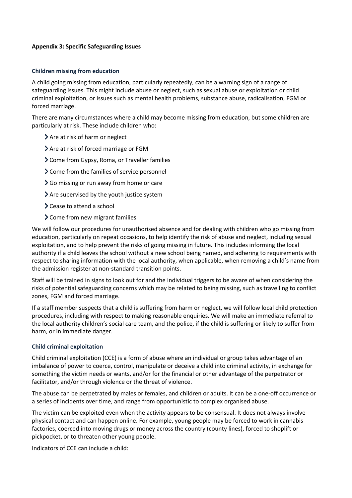#### **Appendix 3: Specific Safeguarding Issues**

#### **Children missing from education**

A child going missing from education, particularly repeatedly, can be a warning sign of a range of safeguarding issues. This might include abuse or neglect, such as sexual abuse or exploitation or child criminal exploitation, or issues such as mental health problems, substance abuse, radicalisation, FGM or forced marriage.

There are many circumstances where a child may become missing from education, but some children are particularly at risk. These include children who:

- > Are at risk of harm or neglect
- > Are at risk of forced marriage or FGM
- Come from Gypsy, Roma, or Traveller families
- > Come from the families of service personnel
- Go missing or run away from home or care
- Are supervised by the youth justice system
- > Cease to attend a school
- Come from new migrant families

We will follow our procedures for unauthorised absence and for dealing with children who go missing from education, particularly on repeat occasions, to help identify the risk of abuse and neglect, including sexual exploitation, and to help prevent the risks of going missing in future. This includes informing the local authority if a child leaves the school without a new school being named, and adhering to requirements with respect to sharing information with the local authority, when applicable, when removing a child's name from the admission register at non-standard transition points.

Staff will be trained in signs to look out for and the individual triggers to be aware of when considering the risks of potential safeguarding concerns which may be related to being missing, such as travelling to conflict zones, FGM and forced marriage.

If a staff member suspects that a child is suffering from harm or neglect, we will follow local child protection procedures, including with respect to making reasonable enquiries. We will make an immediate referral to the local authority children's social care team, and the police, if the child is suffering or likely to suffer from harm, or in immediate danger.

#### **Child criminal exploitation**

Child criminal exploitation (CCE) is a form of abuse where an individual or group takes advantage of an imbalance of power to coerce, control, manipulate or deceive a child into criminal activity, in exchange for something the victim needs or wants, and/or for the financial or other advantage of the perpetrator or facilitator, and/or through violence or the threat of violence.

The abuse can be perpetrated by males or females, and children or adults. It can be a one-off occurrence or a series of incidents over time, and range from opportunistic to complex organised abuse.

The victim can be exploited even when the activity appears to be consensual. It does not always involve physical contact and can happen online. For example, young people may be forced to work in cannabis factories, coerced into moving drugs or money across the country (county lines), forced to shoplift or pickpocket, or to threaten other young people.

Indicators of CCE can include a child: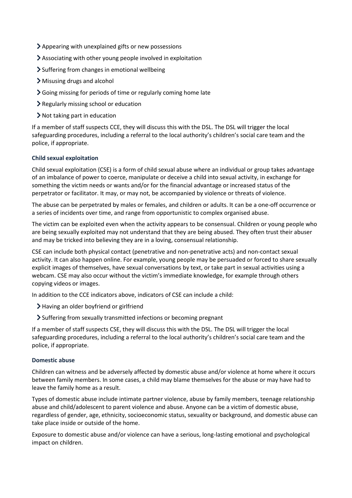- Appearing with unexplained gifts or new possessions
- Associating with other young people involved in exploitation
- $\sum$  Suffering from changes in emotional wellbeing
- Misusing drugs and alcohol
- Going missing for periods of time or regularly coming home late
- Regularly missing school or education
- Not taking part in education

If a member of staff suspects CCE, they will discuss this with the DSL. The DSL will trigger the local safeguarding procedures, including a referral to the local authority's children's social care team and the police, if appropriate.

#### **Child sexual exploitation**

Child sexual exploitation (CSE) is a form of child sexual abuse where an individual or group takes advantage of an imbalance of power to coerce, manipulate or deceive a child into sexual activity, in exchange for something the victim needs or wants and/or for the financial advantage or increased status of the perpetrator or facilitator. It may, or may not, be accompanied by violence or threats of violence.

The abuse can be perpetrated by males or females, and children or adults. It can be a one-off occurrence or a series of incidents over time, and range from opportunistic to complex organised abuse.

The victim can be exploited even when the activity appears to be consensual. Children or young people who are being sexually exploited may not understand that they are being abused. They often trust their abuser and may be tricked into believing they are in a loving, consensual relationship.

CSE can include both physical contact (penetrative and non-penetrative acts) and non-contact sexual activity. It can also happen online. For example, young people may be persuaded or forced to share sexually explicit images of themselves, have sexual conversations by text, or take part in sexual activities using a webcam. CSE may also occur without the victim's immediate knowledge, for example through others copying videos or images.

In addition to the CCE indicators above, indicators of CSE can include a child:

- Having an older boyfriend or girlfriend
- Suffering from sexually transmitted infections or becoming pregnant

If a member of staff suspects CSE, they will discuss this with the DSL. The DSL will trigger the local safeguarding procedures, including a referral to the local authority's children's social care team and the police, if appropriate.

#### **Domestic abuse**

Children can witness and be adversely affected by domestic abuse and/or violence at home where it occurs between family members. In some cases, a child may blame themselves for the abuse or may have had to leave the family home as a result.

Types of domestic abuse include intimate partner violence, abuse by family members, teenage relationship abuse and child/adolescent to parent violence and abuse. Anyone can be a victim of domestic abuse, regardless of gender, age, ethnicity, socioeconomic status, sexuality or background, and domestic abuse can take place inside or outside of the home.

Exposure to domestic abuse and/or violence can have a serious, long-lasting emotional and psychological impact on children.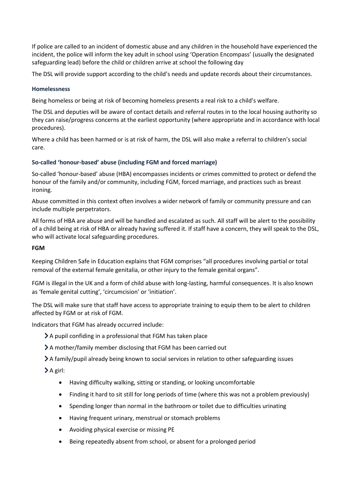If police are called to an incident of domestic abuse and any children in the household have experienced the incident, the police will inform the key adult in school using 'Operation Encompass' (usually the designated safeguarding lead) before the child or children arrive at school the following day

The DSL will provide support according to the child's needs and update records about their circumstances.

#### **Homelessness**

Being homeless or being at risk of becoming homeless presents a real risk to a child's welfare.

The DSL and deputies will be aware of contact details and referral routes in to the local housing authority so they can raise/progress concerns at the earliest opportunity (where appropriate and in accordance with local procedures).

Where a child has been harmed or is at risk of harm, the DSL will also make a referral to children's social care.

#### **So-called 'honour-based' abuse (including FGM and forced marriage)**

So-called 'honour-based' abuse (HBA) encompasses incidents or crimes committed to protect or defend the honour of the family and/or community, including FGM, forced marriage, and practices such as breast ironing.

Abuse committed in this context often involves a wider network of family or community pressure and can include multiple perpetrators.

All forms of HBA are abuse and will be handled and escalated as such. All staff will be alert to the possibility of a child being at risk of HBA or already having suffered it. If staff have a concern, they will speak to the DSL, who will activate local safeguarding procedures.

#### **FGM**

Keeping Children Safe in Education explains that FGM comprises "all procedures involving partial or total removal of the external female genitalia, or other injury to the female genital organs".

FGM is illegal in the UK and a form of child abuse with long-lasting, harmful consequences. It is also known as 'female genital cutting', 'circumcision' or 'initiation'.

The DSL will make sure that staff have access to appropriate training to equip them to be alert to children affected by FGM or at risk of FGM.

Indicators that FGM has already occurred include:

- A pupil confiding in a professional that FGM has taken place
- A mother/family member disclosing that FGM has been carried out
- A family/pupil already being known to social services in relation to other safeguarding issues

 $\sum A$  girl:

- Having difficulty walking, sitting or standing, or looking uncomfortable
- Finding it hard to sit still for long periods of time (where this was not a problem previously)
- Spending longer than normal in the bathroom or toilet due to difficulties urinating
- Having frequent urinary, menstrual or stomach problems
- Avoiding physical exercise or missing PE
- Being repeatedly absent from school, or absent for a prolonged period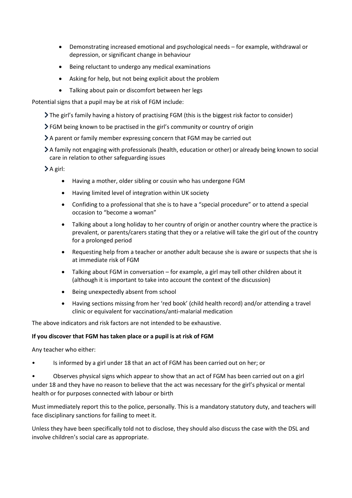- Demonstrating increased emotional and psychological needs for example, withdrawal or depression, or significant change in behaviour
- Being reluctant to undergo any medical examinations
- Asking for help, but not being explicit about the problem
- Talking about pain or discomfort between her legs

Potential signs that a pupil may be at risk of FGM include:

- The girl's family having a history of practising FGM (this is the biggest risk factor to consider)
- FGM being known to be practised in the girl's community or country of origin
- A parent or family member expressing concern that FGM may be carried out
- A family not engaging with professionals (health, education or other) or already being known to social care in relation to other safeguarding issues

A girl:

- Having a mother, older sibling or cousin who has undergone FGM
- Having limited level of integration within UK society
- Confiding to a professional that she is to have a "special procedure" or to attend a special occasion to "become a woman"
- Talking about a long holiday to her country of origin or another country where the practice is prevalent, or parents/carers stating that they or a relative will take the girl out of the country for a prolonged period
- Requesting help from a teacher or another adult because she is aware or suspects that she is at immediate risk of FGM
- Talking about FGM in conversation for example, a girl may tell other children about it (although it is important to take into account the context of the discussion)
- Being unexpectedly absent from school
- Having sections missing from her 'red book' (child health record) and/or attending a travel clinic or equivalent for vaccinations/anti-malarial medication

The above indicators and risk factors are not intended to be exhaustive.

#### **If you discover that FGM has taken place or a pupil is at risk of FGM**

Any teacher who either:

• Is informed by a girl under 18 that an act of FGM has been carried out on her; or

• Observes physical signs which appear to show that an act of FGM has been carried out on a girl under 18 and they have no reason to believe that the act was necessary for the girl's physical or mental health or for purposes connected with labour or birth

Must immediately report this to the police, personally. This is a mandatory statutory duty, and teachers will face disciplinary sanctions for failing to meet it.

Unless they have been specifically told not to disclose, they should also discuss the case with the DSL and involve children's social care as appropriate.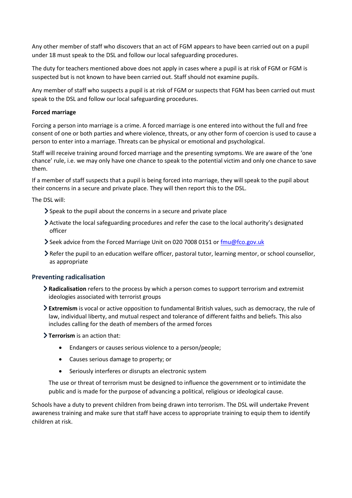Any other member of staff who discovers that an act of FGM appears to have been carried out on a pupil under 18 must speak to the DSL and follow our local safeguarding procedures.

The duty for teachers mentioned above does not apply in cases where a pupil is at risk of FGM or FGM is suspected but is not known to have been carried out. Staff should not examine pupils.

Any member of staff who suspects a pupil is at risk of FGM or suspects that FGM has been carried out must speak to the DSL and follow our local safeguarding procedures.

#### **Forced marriage**

Forcing a person into marriage is a crime. A forced marriage is one entered into without the full and free consent of one or both parties and where violence, threats, or any other form of coercion is used to cause a person to enter into a marriage. Threats can be physical or emotional and psychological.

Staff will receive training around forced marriage and the presenting symptoms. We are aware of the 'one chance' rule, i.e. we may only have one chance to speak to the potential victim and only one chance to save them.

If a member of staff suspects that a pupil is being forced into marriage, they will speak to the pupil about their concerns in a secure and private place. They will then report this to the DSL.

The DSL will:

- Speak to the pupil about the concerns in a secure and private place
- Activate the local safeguarding procedures and refer the case to the local authority's designated officer
- Seek advice from the Forced Marriage Unit on 020 7008 0151 or  $\frac{fmu@fco.gov.uk}{fmu@fco.gov.uk}$
- Refer the pupil to an education welfare officer, pastoral tutor, learning mentor, or school counsellor, as appropriate

#### **Preventing radicalisation**

- **Radicalisation** refers to the process by which a person comes to support terrorism and extremist ideologies associated with terrorist groups
- **Extremism** is vocal or active opposition to fundamental British values, such as democracy, the rule of law, individual liberty, and mutual respect and tolerance of different faiths and beliefs. This also includes calling for the death of members of the armed forces

**Terrorism** is an action that:

- Endangers or causes serious violence to a person/people;
- Causes serious damage to property; or
- Seriously interferes or disrupts an electronic system

The use or threat of terrorism must be designed to influence the government or to intimidate the public and is made for the purpose of advancing a political, religious or ideological cause.

Schools have a duty to prevent children from being drawn into terrorism. The DSL will undertake Prevent awareness training and make sure that staff have access to appropriate training to equip them to identify children at risk.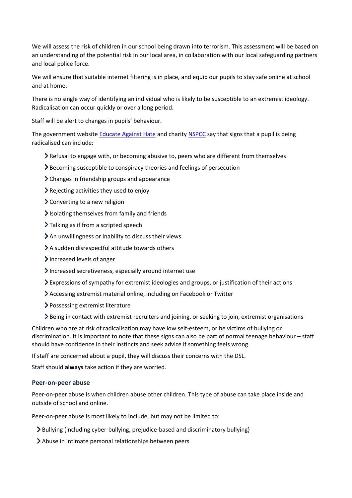We will assess the risk of children in our school being drawn into terrorism. This assessment will be based on an understanding of the potential risk in our local area, in collaboration with our local safeguarding partners and local police force.

We will ensure that suitable internet filtering is in place, and equip our pupils to stay safe online at school and at home.

There is no single way of identifying an individual who is likely to be susceptible to an extremist ideology. Radicalisation can occur quickly or over a long period.

Staff will be alert to changes in pupils' behaviour.

The government website [Educate Against Hate](http://educateagainsthate.com/parents/what-are-the-warning-signs/) and charity [NSPCC](https://www.nspcc.org.uk/what-you-can-do/report-abuse/dedicated-helplines/protecting-children-from-radicalisation/) say that signs that a pupil is being radicalised can include:

- $\blacktriangleright$  Refusal to engage with, or becoming abusive to, peers who are different from themselves
- Becoming susceptible to conspiracy theories and feelings of persecution
- Changes in friendship groups and appearance
- Rejecting activities they used to enjoy
- Converting to a new religion
- $\blacktriangleright$  Isolating themselves from family and friends
- > Talking as if from a scripted speech
- An unwillingness or inability to discuss their views
- A sudden disrespectful attitude towards others
- Increased levels of anger
- Increased secretiveness, especially around internet use
- Expressions of sympathy for extremist ideologies and groups, or justification of their actions
- Accessing extremist material online, including on Facebook or Twitter
- Possessing extremist literature
- Being in contact with extremist recruiters and joining, or seeking to join, extremist organisations

Children who are at risk of radicalisation may have low self-esteem, or be victims of bullying or discrimination. It is important to note that these signs can also be part of normal teenage behaviour – staff should have confidence in their instincts and seek advice if something feels wrong.

If staff are concerned about a pupil, they will discuss their concerns with the DSL.

Staff should **always** take action if they are worried.

#### **Peer-on-peer abuse**

Peer-on-peer abuse is when children abuse other children. This type of abuse can take place inside and outside of school and online.

Peer-on-peer abuse is most likely to include, but may not be limited to:

- Bullying (including cyber-bullying, prejudice-based and discriminatory bullying)
- Abuse in intimate personal relationships between peers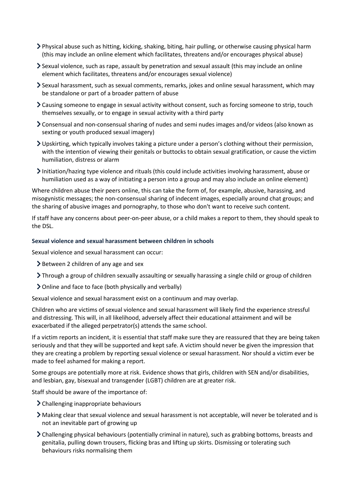- Physical abuse such as hitting, kicking, shaking, biting, hair pulling, or otherwise causing physical harm (this may include an online element which facilitates, threatens and/or encourages physical abuse)
- Sexual violence, such as rape, assault by penetration and sexual assault (this may include an online element which facilitates, threatens and/or encourages sexual violence)
- Sexual harassment, such as sexual comments, remarks, jokes and online sexual harassment, which may be standalone or part of a broader pattern of abuse
- Causing someone to engage in sexual activity without consent, such as forcing someone to strip, touch themselves sexually, or to engage in sexual activity with a third party
- Consensual and non-consensual sharing of nudes and semi nudes images and/or videos (also known as sexting or youth produced sexual imagery)
- Upskirting, which typically involves taking a picture under a person's clothing without their permission, with the intention of viewing their genitals or buttocks to obtain sexual gratification, or cause the victim humiliation, distress or alarm
- Initiation/hazing type violence and rituals (this could include activities involving harassment, abuse or humiliation used as a way of initiating a person into a group and may also include an online element)

Where children abuse their peers online, this can take the form of, for example, abusive, harassing, and misogynistic messages; the non-consensual sharing of indecent images, especially around chat groups; and the sharing of abusive images and pornography, to those who don't want to receive such content.

If staff have any concerns about peer-on-peer abuse, or a child makes a report to them, they should speak to the DSL.

#### **Sexual violence and sexual harassment between children in schools**

Sexual violence and sexual harassment can occur:

- Subsequent 2 children of any age and sex
- Through a group of children sexually assaulting or sexually harassing a single child or group of children
- Online and face to face (both physically and verbally)

Sexual violence and sexual harassment exist on a continuum and may overlap.

Children who are victims of sexual violence and sexual harassment will likely find the experience stressful and distressing. This will, in all likelihood, adversely affect their educational attainment and will be exacerbated if the alleged perpetrator(s) attends the same school.

If a victim reports an incident, it is essential that staff make sure they are reassured that they are being taken seriously and that they will be supported and kept safe. A victim should never be given the impression that they are creating a problem by reporting sexual violence or sexual harassment. Nor should a victim ever be made to feel ashamed for making a report.

Some groups are potentially more at risk. Evidence shows that girls, children with SEN and/or disabilities, and lesbian, gay, bisexual and transgender (LGBT) children are at greater risk.

Staff should be aware of the importance of:

- Challenging inappropriate behaviours
- Making clear that sexual violence and sexual harassment is not acceptable, will never be tolerated and is not an inevitable part of growing up
- Challenging physical behaviours (potentially criminal in nature), such as grabbing bottoms, breasts and genitalia, pulling down trousers, flicking bras and lifting up skirts. Dismissing or tolerating such behaviours risks normalising them